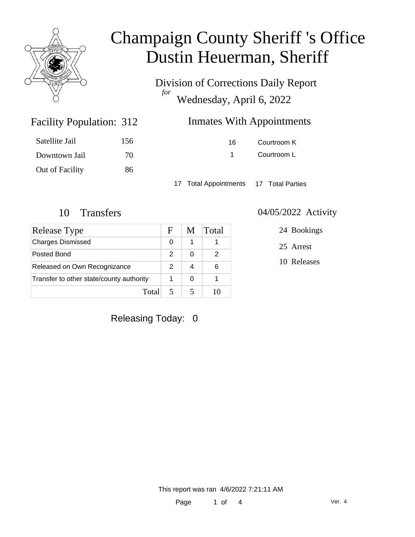

Division of Corrections Daily Report *for* Wednesday, April 6, 2022

### Inmates With Appointments

| Satellite Jail  | 156 |
|-----------------|-----|
| Downtown Jail   | 70  |
| Out of Facility | 86  |

Facility Population: 312

16 Courtroom K 1 Courtroom L

17 Total Appointments 17 Total Parties

| <b>Release Type</b>                      | F | M | Total |
|------------------------------------------|---|---|-------|
| <b>Charges Dismissed</b>                 | 0 | 1 |       |
| Posted Bond                              | 2 | ∩ | 2     |
| Released on Own Recognizance             | 2 |   | 6     |
| Transfer to other state/county authority |   | 0 |       |
| Total                                    |   |   |       |

#### 10 Transfers 04/05/2022 Activity

24 Bookings

25 Arrest

10 Releases

Releasing Today: 0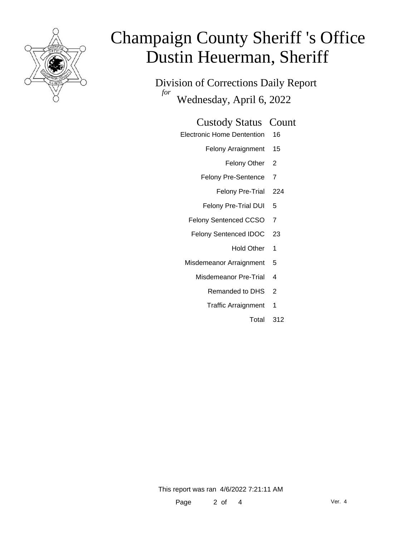

Division of Corrections Daily Report *for* Wednesday, April 6, 2022

#### Custody Status Count

- Electronic Home Dentention 16
	- Felony Arraignment 15
		- Felony Other 2
	- Felony Pre-Sentence 7
		- Felony Pre-Trial 224
	- Felony Pre-Trial DUI 5
	- Felony Sentenced CCSO 7
	- Felony Sentenced IDOC 23
		- Hold Other 1
	- Misdemeanor Arraignment 5
		- Misdemeanor Pre-Trial 4
			- Remanded to DHS 2
			- Traffic Arraignment 1
				- Total 312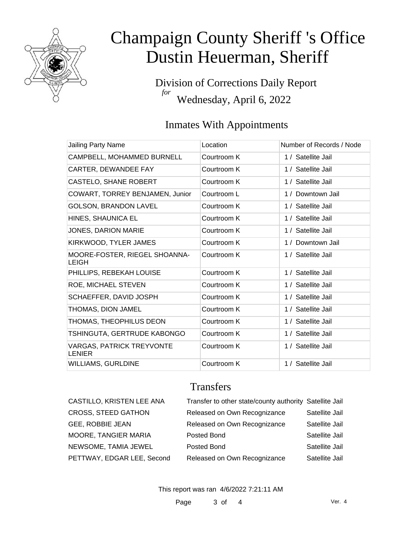

Division of Corrections Daily Report *for* Wednesday, April 6, 2022

### Inmates With Appointments

| Jailing Party Name                         | Location    | Number of Records / Node |
|--------------------------------------------|-------------|--------------------------|
| CAMPBELL, MOHAMMED BURNELL                 | Courtroom K | 1 / Satellite Jail       |
| CARTER, DEWANDEE FAY                       | Courtroom K | 1 / Satellite Jail       |
| CASTELO, SHANE ROBERT                      | Courtroom K | 1 / Satellite Jail       |
| COWART, TORREY BENJAMEN, Junior            | Courtroom L | 1 / Downtown Jail        |
| <b>GOLSON, BRANDON LAVEL</b>               | Courtroom K | 1 / Satellite Jail       |
| HINES, SHAUNICA EL                         | Courtroom K | 1 / Satellite Jail       |
| JONES, DARION MARIE                        | Courtroom K | 1 / Satellite Jail       |
| KIRKWOOD, TYLER JAMES                      | Courtroom K | 1 / Downtown Jail        |
| MOORE-FOSTER, RIEGEL SHOANNA-<br>LEIGH     | Courtroom K | 1 / Satellite Jail       |
| PHILLIPS, REBEKAH LOUISE                   | Courtroom K | 1 / Satellite Jail       |
| ROE, MICHAEL STEVEN                        | Courtroom K | 1 / Satellite Jail       |
| SCHAEFFER, DAVID JOSPH                     | Courtroom K | 1 / Satellite Jail       |
| THOMAS, DION JAMEL                         | Courtroom K | 1 / Satellite Jail       |
| THOMAS, THEOPHILUS DEON                    | Courtroom K | 1 / Satellite Jail       |
| TSHINGUTA, GERTRUDE KABONGO                | Courtroom K | 1 / Satellite Jail       |
| <b>VARGAS, PATRICK TREYVONTE</b><br>LENIER | Courtroom K | 1 / Satellite Jail       |
| WILLIAMS, GURLDINE                         | Courtroom K | 1 / Satellite Jail       |

### **Transfers**

| CASTILLO, KRISTEN LEE ANA  | Transfer to other state/county authority Satellite Jail |                |
|----------------------------|---------------------------------------------------------|----------------|
| <b>CROSS, STEED GATHON</b> | Released on Own Recognizance                            | Satellite Jail |
| GEE, ROBBIE JEAN           | Released on Own Recognizance                            | Satellite Jail |
| MOORE, TANGIER MARIA       | Posted Bond                                             | Satellite Jail |
| NEWSOME, TAMIA JEWEL       | Posted Bond                                             | Satellite Jail |
| PETTWAY, EDGAR LEE, Second | Released on Own Recognizance                            | Satellite Jail |